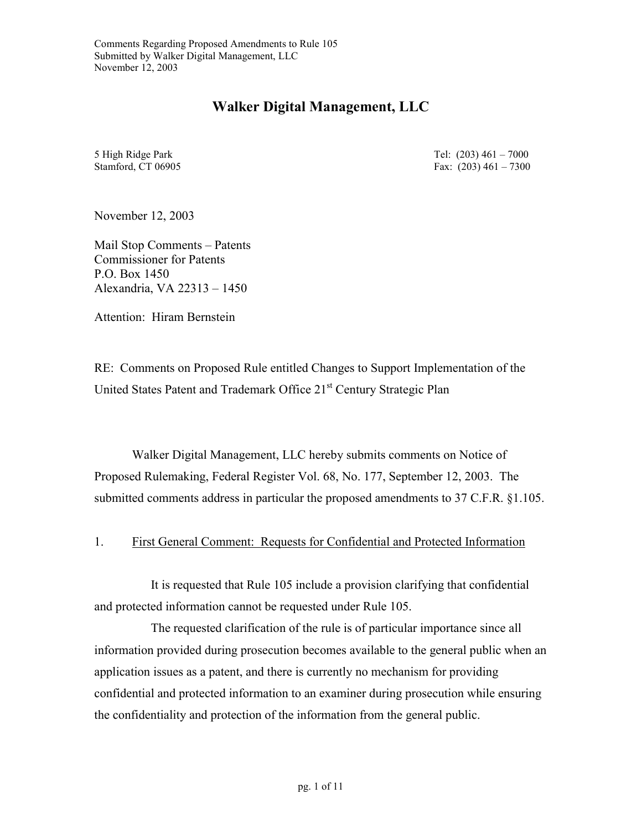## **Walker Digital Management, LLC**

5 High Ridge Park Stamford, CT 06905 Tel: (203) 461 – 7000 Fax: (203) 461 – 7300

November 12, 2003

Mail Stop Comments – Patents Commissioner for Patents P.O. Box 1450 Alexandria, VA 22313 – 1450

Attention: Hiram Bernstein

RE: Comments on Proposed Rule entitled Changes to Support Implementation of the United States Patent and Trademark Office 21<sup>st</sup> Century Strategic Plan

Walker Digital Management, LLC hereby submits comments on Notice of Proposed Rulemaking, Federal Register Vol. 68, No. 177, September 12, 2003. The submitted comments address in particular the proposed amendments to 37 C.F.R. §1.105.

#### 1. First General Comment: Requests for Confidential and Protected Information

It is requested that Rule 105 include a provision clarifying that confidential and protected information cannot be requested under Rule 105.

The requested clarification of the rule is of particular importance since all information provided during prosecution becomes available to the general public when an application issues as a patent, and there is currently no mechanism for providing confidential and protected information to an examiner during prosecution while ensuring the confidentiality and protection of the information from the general public.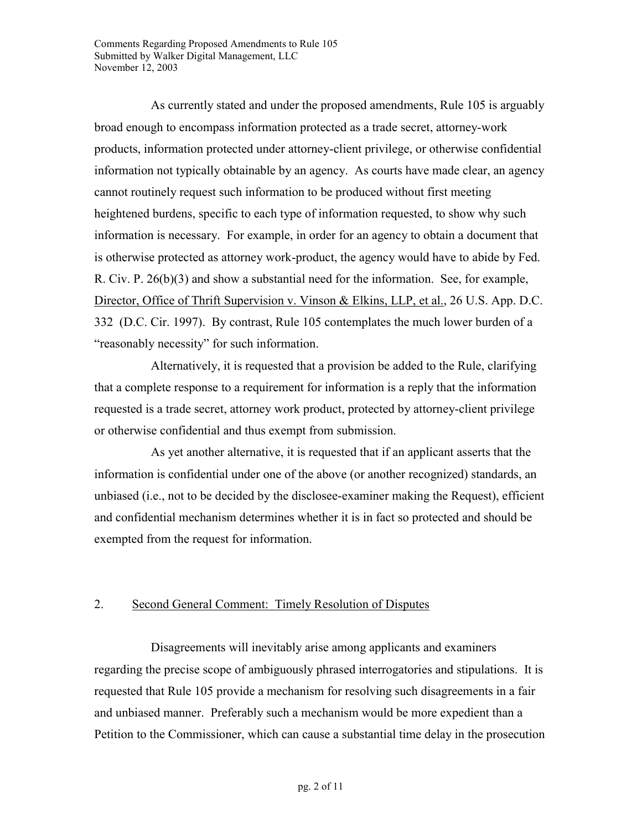As currently stated and under the proposed amendments, Rule 105 is arguably broad enough to encompass information protected as a trade secret, attorney-work products, information protected under attorney-client privilege, or otherwise confidential information not typically obtainable by an agency. As courts have made clear, an agency cannot routinely request such information to be produced without first meeting heightened burdens, specific to each type of information requested, to show why such information is necessary. For example, in order for an agency to obtain a document that is otherwise protected as attorney work-product, the agency would have to abide by Fed. R. Civ. P. 26(b)(3) and show a substantial need for the information. See, for example, Director, Office of Thrift Supervision v. Vinson & Elkins, LLP, et al., 26 U.S. App. D.C. 332 (D.C. Cir. 1997). By contrast, Rule 105 contemplates the much lower burden of a "reasonably necessity" for such information.

Alternatively, it is requested that a provision be added to the Rule, clarifying that a complete response to a requirement for information is a reply that the information requested is a trade secret, attorney work product, protected by attorney-client privilege or otherwise confidential and thus exempt from submission.

As yet another alternative, it is requested that if an applicant asserts that the information is confidential under one of the above (or another recognized) standards, an unbiased (i.e., not to be decided by the disclosee-examiner making the Request), efficient and confidential mechanism determines whether it is in fact so protected and should be exempted from the request for information.

#### 2. Second General Comment: Timely Resolution of Disputes

Disagreements will inevitably arise among applicants and examiners regarding the precise scope of ambiguously phrased interrogatories and stipulations. It is requested that Rule 105 provide a mechanism for resolving such disagreements in a fair and unbiased manner. Preferably such a mechanism would be more expedient than a Petition to the Commissioner, which can cause a substantial time delay in the prosecution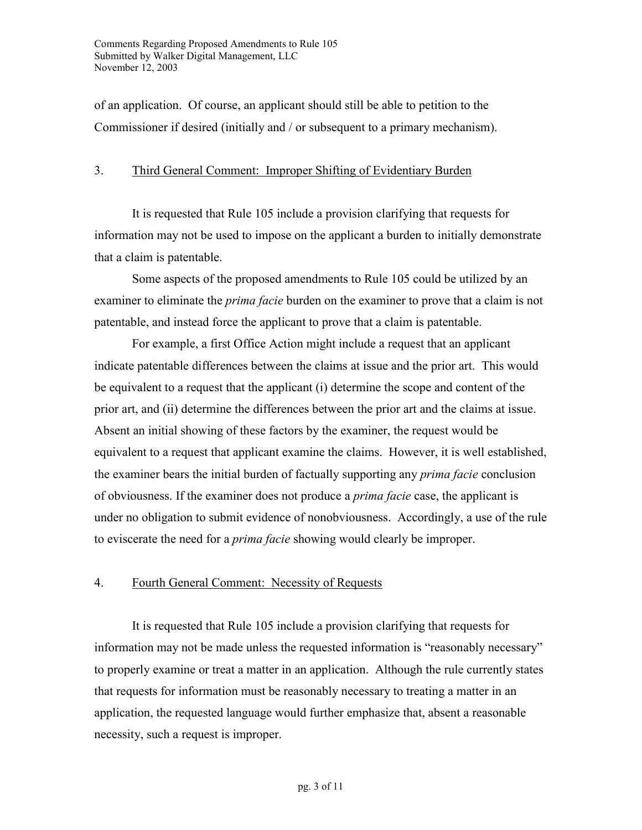of an application. Of course, an applicant should still be able to petition to the Commissioner if desired (initially and / or subsequent to a primary mechanism).

### 3. Third General Comment: Improper Shifting of Evidentiary Burden

It is requested that Rule 105 include a provision clarifying that requests for information may not be used to impose on the applicant a burden to initially demonstrate that a claim is patentable.

Some aspects of the proposed amendments to Rule 105 could be utilized by an examiner to eliminate the *prima facie* burden on the examiner to prove that a claim is not patentable, and instead force the applicant to prove that a claim is patentable.

For example, a first Office Action might include a request that an applicant indicate patentable differences between the claims at issue and the prior art. This would be equivalent to a request that the applicant (i) determine the scope and content of the prior art, and (ii) determine the differences between the prior art and the claims at issue. Absent an initial showing of these factors by the examiner, the request would be equivalent to a request that applicant examine the claims. However, it is well established, the examiner bears the initial burden of factually supporting any *prima facie* conclusion of obviousness. If the examiner does not produce a *prima facie* case, the applicant is under no obligation to submit evidence of nonobviousness. Accordingly, a use of the rule to eviscerate the need for a *prima facie* showing would clearly be improper.

## 4. Fourth General Comment: Necessity of Requests

It is requested that Rule 105 include a provision clarifying that requests for information may not be made unless the requested information is "reasonably necessary" to properly examine or treat a matter in an application. Although the rule currently states that requests for information must be reasonably necessary to treating a matter in an application, the requested language would further emphasize that, absent a reasonable necessity, such a request is improper.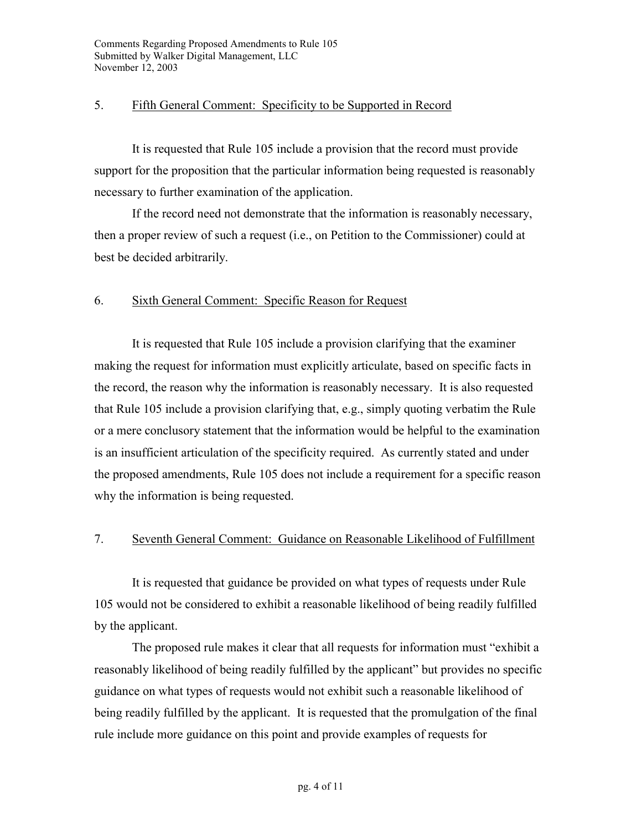### 5. Fifth General Comment: Specificity to be Supported in Record

It is requested that Rule 105 include a provision that the record must provide support for the proposition that the particular information being requested is reasonably necessary to further examination of the application.

If the record need not demonstrate that the information is reasonably necessary, then a proper review of such a request (i.e., on Petition to the Commissioner) could at best be decided arbitrarily.

## 6. Sixth General Comment: Specific Reason for Request

It is requested that Rule 105 include a provision clarifying that the examiner making the request for information must explicitly articulate, based on specific facts in the record, the reason why the information is reasonably necessary. It is also requested that Rule 105 include a provision clarifying that, e.g., simply quoting verbatim the Rule or a mere conclusory statement that the information would be helpful to the examination is an insufficient articulation of the specificity required. As currently stated and under the proposed amendments, Rule 105 does not include a requirement for a specific reason why the information is being requested.

#### 7. Seventh General Comment: Guidance on Reasonable Likelihood of Fulfillment

It is requested that guidance be provided on what types of requests under Rule 105 would not be considered to exhibit a reasonable likelihood of being readily fulfilled by the applicant.

The proposed rule makes it clear that all requests for information must "exhibit a reasonably likelihood of being readily fulfilled by the applicant" but provides no specific guidance on what types of requests would not exhibit such a reasonable likelihood of being readily fulfilled by the applicant. It is requested that the promulgation of the final rule include more guidance on this point and provide examples of requests for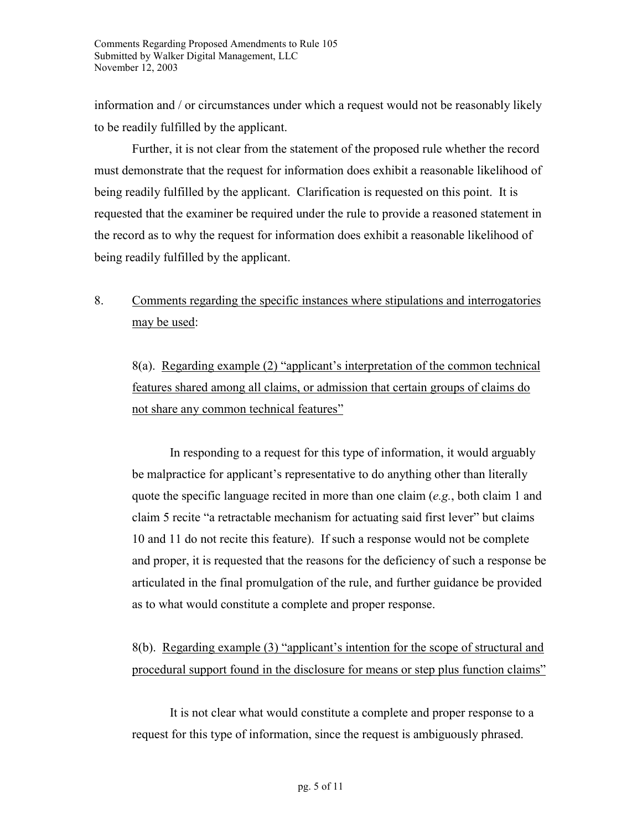information and / or circumstances under which a request would not be reasonably likely to be readily fulfilled by the applicant.

Further, it is not clear from the statement of the proposed rule whether the record must demonstrate that the request for information does exhibit a reasonable likelihood of being readily fulfilled by the applicant. Clarification is requested on this point. It is requested that the examiner be required under the rule to provide a reasoned statement in the record as to why the request for information does exhibit a reasonable likelihood of being readily fulfilled by the applicant.

8. Comments regarding the specific instances where stipulations and interrogatories may be used:

8(a). Regarding example (2) "applicant's interpretation of the common technical features shared among all claims, or admission that certain groups of claims do not share any common technical features"

In responding to a request for this type of information, it would arguably be malpractice for applicant's representative to do anything other than literally quote the specific language recited in more than one claim (*e.g.*, both claim 1 and claim 5 recite "a retractable mechanism for actuating said first lever" but claims 10 and 11 do not recite this feature). If such a response would not be complete and proper, it is requested that the reasons for the deficiency of such a response be articulated in the final promulgation of the rule, and further guidance be provided as to what would constitute a complete and proper response.

8(b). Regarding example (3) "applicant's intention for the scope of structural and procedural support found in the disclosure for means or step plus function claims"

It is not clear what would constitute a complete and proper response to a request for this type of information, since the request is ambiguously phrased.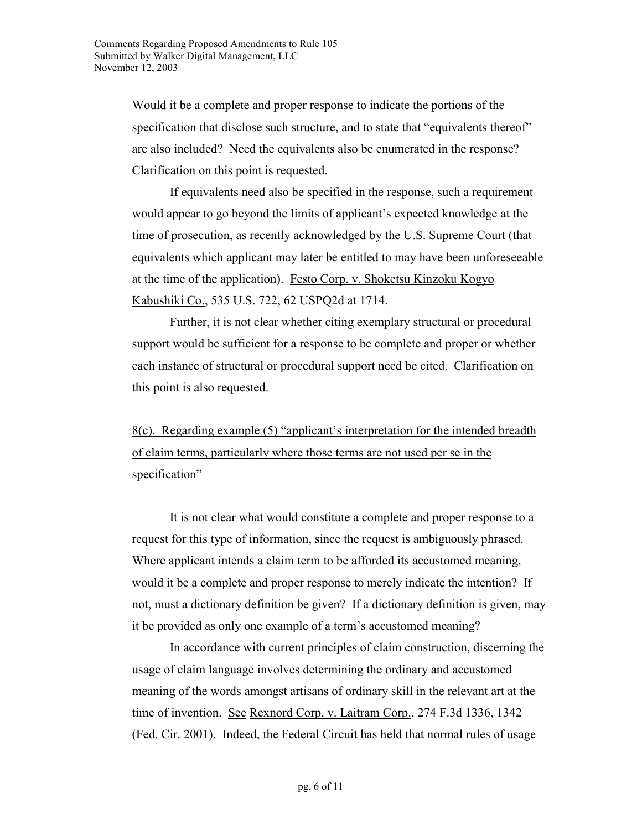Would it be a complete and proper response to indicate the portions of the specification that disclose such structure, and to state that "equivalents thereof" are also included? Need the equivalents also be enumerated in the response? Clarification on this point is requested.

If equivalents need also be specified in the response, such a requirement would appear to go beyond the limits of applicant's expected knowledge at the time of prosecution, as recently acknowledged by the U.S. Supreme Court (that equivalents which applicant may later be entitled to may have been unforeseeable at the time of the application). Festo Corp. v. Shoketsu Kinzoku Kogyo Kabushiki Co., 535 U.S. 722, 62 USPQ2d at 1714.

Further, it is not clear whether citing exemplary structural or procedural support would be sufficient for a response to be complete and proper or whether each instance of structural or procedural support need be cited. Clarification on this point is also requested.

8(c). Regarding example (5) "applicant's interpretation for the intended breadth of claim terms, particularly where those terms are not used per se in the specification"

It is not clear what would constitute a complete and proper response to a request for this type of information, since the request is ambiguously phrased. Where applicant intends a claim term to be afforded its accustomed meaning, would it be a complete and proper response to merely indicate the intention? If not, must a dictionary definition be given? If a dictionary definition is given, may it be provided as only one example of a term's accustomed meaning?

In accordance with current principles of claim construction, discerning the usage of claim language involves determining the ordinary and accustomed meaning of the words amongst artisans of ordinary skill in the relevant art at the time of invention. See Rexnord Corp. v. Laitram Corp., 274 F.3d 1336, 1342 (Fed. Cir. 2001). Indeed, the Federal Circuit has held that normal rules of usage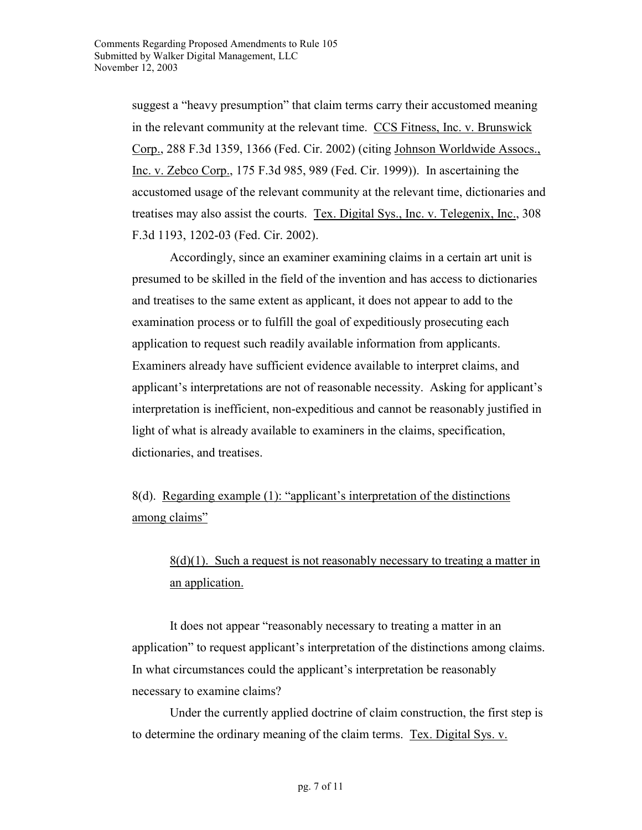suggest a "heavy presumption" that claim terms carry their accustomed meaning in the relevant community at the relevant time. CCS Fitness, Inc. v. Brunswick Corp., 288 F.3d 1359, 1366 (Fed. Cir. 2002) (citing Johnson Worldwide Assocs., Inc. v. Zebco Corp., 175 F.3d 985, 989 (Fed. Cir. 1999)). In ascertaining the accustomed usage of the relevant community at the relevant time, dictionaries and treatises may also assist the courts. Tex. Digital Sys., Inc. v. Telegenix, Inc., 308 F.3d 1193, 1202-03 (Fed. Cir. 2002).

Accordingly, since an examiner examining claims in a certain art unit is presumed to be skilled in the field of the invention and has access to dictionaries and treatises to the same extent as applicant, it does not appear to add to the examination process or to fulfill the goal of expeditiously prosecuting each application to request such readily available information from applicants. Examiners already have sufficient evidence available to interpret claims, and applicant's interpretations are not of reasonable necessity. Asking for applicant's interpretation is inefficient, non-expeditious and cannot be reasonably justified in light of what is already available to examiners in the claims, specification, dictionaries, and treatises.

8(d). Regarding example (1): "applicant's interpretation of the distinctions among claims"

## $8(d)(1)$ . Such a request is not reasonably necessary to treating a matter in an application.

It does not appear "reasonably necessary to treating a matter in an application" to request applicant's interpretation of the distinctions among claims. In what circumstances could the applicant's interpretation be reasonably necessary to examine claims?

Under the currently applied doctrine of claim construction, the first step is to determine the ordinary meaning of the claim terms. Tex. Digital Sys. v.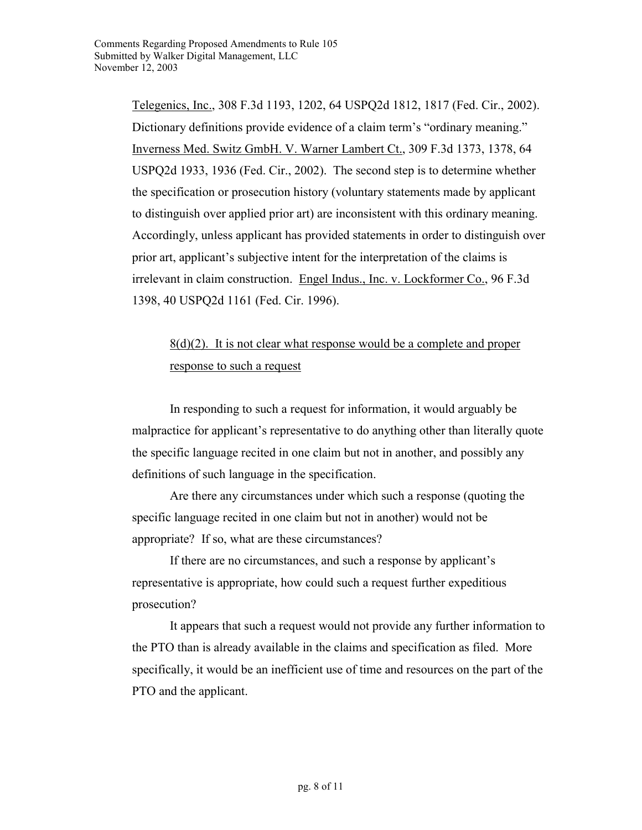Telegenics, Inc., 308 F.3d 1193, 1202, 64 USPQ2d 1812, 1817 (Fed. Cir., 2002). Dictionary definitions provide evidence of a claim term's "ordinary meaning." Inverness Med. Switz GmbH. V. Warner Lambert Ct., 309 F.3d 1373, 1378, 64 USPQ2d 1933, 1936 (Fed. Cir., 2002). The second step is to determine whether the specification or prosecution history (voluntary statements made by applicant to distinguish over applied prior art) are inconsistent with this ordinary meaning. Accordingly, unless applicant has provided statements in order to distinguish over prior art, applicant's subjective intent for the interpretation of the claims is irrelevant in claim construction. Engel Indus., Inc. v. Lockformer Co., 96 F.3d 1398, 40 USPQ2d 1161 (Fed. Cir. 1996).

# $8(d)(2)$ . It is not clear what response would be a complete and proper response to such a request

In responding to such a request for information, it would arguably be malpractice for applicant's representative to do anything other than literally quote the specific language recited in one claim but not in another, and possibly any definitions of such language in the specification.

Are there any circumstances under which such a response (quoting the specific language recited in one claim but not in another) would not be appropriate? If so, what are these circumstances?

If there are no circumstances, and such a response by applicant's representative is appropriate, how could such a request further expeditious prosecution?

It appears that such a request would not provide any further information to the PTO than is already available in the claims and specification as filed. More specifically, it would be an inefficient use of time and resources on the part of the PTO and the applicant.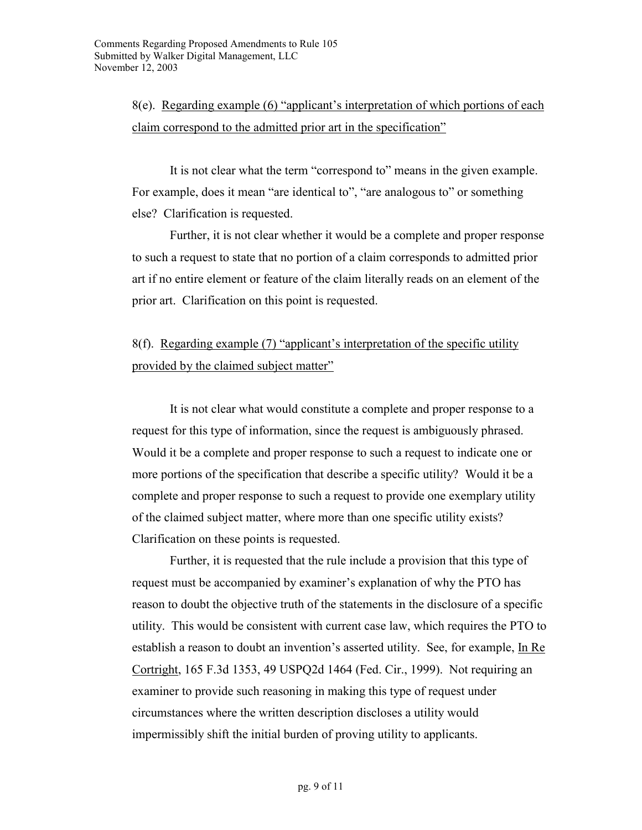8(e). Regarding example (6) "applicant's interpretation of which portions of each claim correspond to the admitted prior art in the specification"

It is not clear what the term "correspond to" means in the given example. For example, does it mean "are identical to", "are analogous to" or something else? Clarification is requested.

Further, it is not clear whether it would be a complete and proper response to such a request to state that no portion of a claim corresponds to admitted prior art if no entire element or feature of the claim literally reads on an element of the prior art. Clarification on this point is requested.

## 8(f). Regarding example (7) "applicant's interpretation of the specific utility provided by the claimed subject matter"

It is not clear what would constitute a complete and proper response to a request for this type of information, since the request is ambiguously phrased. Would it be a complete and proper response to such a request to indicate one or more portions of the specification that describe a specific utility? Would it be a complete and proper response to such a request to provide one exemplary utility of the claimed subject matter, where more than one specific utility exists? Clarification on these points is requested.

Further, it is requested that the rule include a provision that this type of request must be accompanied by examiner's explanation of why the PTO has reason to doubt the objective truth of the statements in the disclosure of a specific utility. This would be consistent with current case law, which requires the PTO to establish a reason to doubt an invention's asserted utility. See, for example, In Re Cortright, 165 F.3d 1353, 49 USPQ2d 1464 (Fed. Cir., 1999). Not requiring an examiner to provide such reasoning in making this type of request under circumstances where the written description discloses a utility would impermissibly shift the initial burden of proving utility to applicants.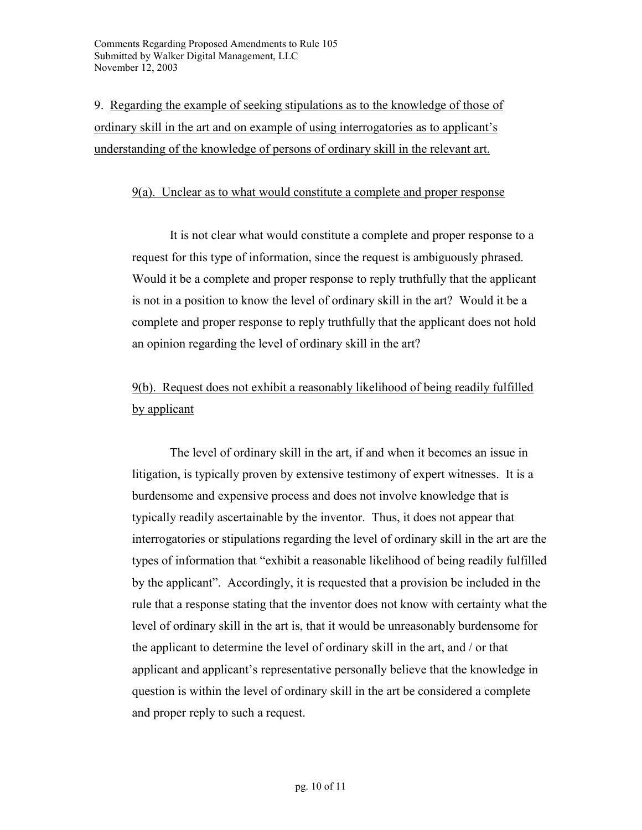9. Regarding the example of seeking stipulations as to the knowledge of those of ordinary skill in the art and on example of using interrogatories as to applicant's understanding of the knowledge of persons of ordinary skill in the relevant art.

#### 9(a). Unclear as to what would constitute a complete and proper response

It is not clear what would constitute a complete and proper response to a request for this type of information, since the request is ambiguously phrased. Would it be a complete and proper response to reply truthfully that the applicant is not in a position to know the level of ordinary skill in the art? Would it be a complete and proper response to reply truthfully that the applicant does not hold an opinion regarding the level of ordinary skill in the art?

# 9(b). Request does not exhibit a reasonably likelihood of being readily fulfilled by applicant

The level of ordinary skill in the art, if and when it becomes an issue in litigation, is typically proven by extensive testimony of expert witnesses. It is a burdensome and expensive process and does not involve knowledge that is typically readily ascertainable by the inventor. Thus, it does not appear that interrogatories or stipulations regarding the level of ordinary skill in the art are the types of information that "exhibit a reasonable likelihood of being readily fulfilled by the applicant". Accordingly, it is requested that a provision be included in the rule that a response stating that the inventor does not know with certainty what the level of ordinary skill in the art is, that it would be unreasonably burdensome for the applicant to determine the level of ordinary skill in the art, and / or that applicant and applicant's representative personally believe that the knowledge in question is within the level of ordinary skill in the art be considered a complete and proper reply to such a request.